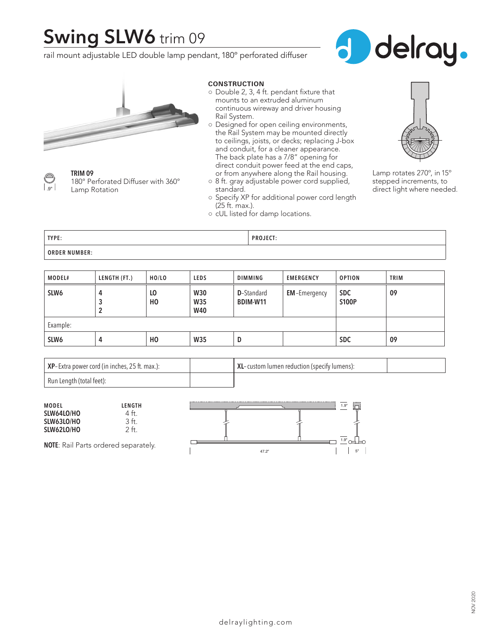## **Swing SLW6** trim 09

rail mount adjustable LED double lamp pendant, 180º perforated diffuser







**TRIM 09** 180° Perforated Diffuser with 360° Lamp Rotation

#### **CONSTRUCTION**

- Double 2, 3, 4 ft. pendant fixture that mounts to an extruded aluminum continuous wireway and driver housing Rail System.
- Designed for open ceiling environments, the Rail System may be mounted directly to ceilings, joists, or decks; replacing J-box and conduit, for a cleaner appearance. The back plate has a 7/8" opening for direct conduit power feed at the end caps, or from anywhere along the Rail housing.
- 8 ft. gray adjustable power cord supplied, standard.
- Specify XP for additional power cord length (25 ft. max.).
- cUL listed for damp locations.



Lamp rotates 270º, in 15º stepped increments, to direct light where needed.

| TYPE:                | <b>PROJECT:</b> |
|----------------------|-----------------|
| <b>ORDER NUMBER:</b> |                 |

| MODEL#           | LENGTH (FT.) | HO/LO                | <b>LEDS</b>                     | DIMMING                               | <b>EMERGENCY</b>    | <b>OPTION</b>              | TRIM |
|------------------|--------------|----------------------|---------------------------------|---------------------------------------|---------------------|----------------------------|------|
| SLW <sub>6</sub> | 4<br>3<br>2  | LO<br>H <sub>0</sub> | <b>W30</b><br>W35<br><b>W40</b> | <b>D</b> -Standard<br><b>BDIM-W11</b> | <b>EM-Emergency</b> | <b>SDC</b><br><b>S100P</b> | 09   |
| Example:         |              |                      |                                 |                                       |                     |                            |      |
| SLW6             | 4            | H <sub>0</sub>       | W35                             | D                                     |                     | <b>SDC</b>                 | 09   |

| XP-Extra power cord (in inches, 25 ft. max.): | XL-custom lumen reduction (specify lumens): |  |
|-----------------------------------------------|---------------------------------------------|--|
| Run Length (total feet):                      |                                             |  |

| <b>MODEL</b>                                | LENGTH |       | 1.9"                   |
|---------------------------------------------|--------|-------|------------------------|
| SLW64LO/HO                                  | 4 ft.  |       |                        |
| SLW63LO/HO                                  | ١t.    |       |                        |
| SLW62LO/HO                                  | ? ft.  |       |                        |
| <b>NOTE:</b> Rail Parts ordered separately. |        |       | $1.9" \sim \downarrow$ |
|                                             |        | 47.2" | 5"                     |